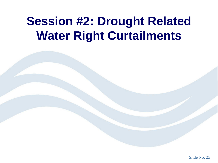# **Session #2: Drought Related Water Right Curtailments**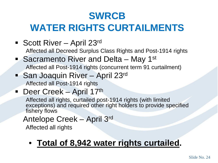## **SWRCB WATER RIGHTS CURTAILMENTS**

■ Scott River – April 23<sup>rd</sup>

Affected all Decreed Surplus Class Rights and Post-1914 rights

- Sacramento River and Delta May 1<sup>st</sup> Affected all Post-1914 rights (concurrent term 91 curtailment)
- San Joaquin River April 23rd Affected all Post-1914 rights

#### Deer Creek – April 17th

Affected all rights, curtailed post-1914 rights (with limited exceptions) and required other right holders to provide specified fishery flows

#### Antelope Creek – April 3rd

Affected all rights

#### • **Total of 8,942 water rights curtailed.**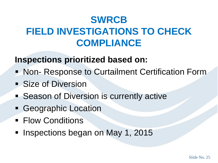## **SWRCB FIELD INVESTIGATIONS TO CHECK COMPLIANCE**

#### **Inspections prioritized based on:**

- Non- Response to Curtailment Certification Form
- **Size of Diversion**
- **Season of Diversion is currently active**
- **Geographic Location**
- **Flow Conditions**
- **Inspections began on May 1, 2015**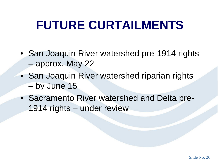## **FUTURE CURTAILMENTS**

- San Joaquin River watershed pre-1914 rights – approx. May 22
- San Joaquin River watershed riparian rights – by June 15
- Sacramento River watershed and Delta pre-1914 rights – under review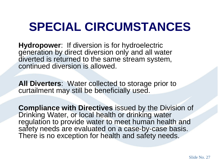# **SPECIAL CIRCUMSTANCES**

**Hydropower**: If diversion is for hydroelectric generation by direct diversion only and all water diverted is returned to the same stream system, continued diversion is allowed.

**All Diverters**: Water collected to storage prior to curtailment may still be beneficially used.

**Compliance with Directives** issued by the Division of Drinking Water, or local health or drinking water regulation to provide water to meet human health and safety needs are evaluated on a case-by-case basis. There is no exception for health and safety needs.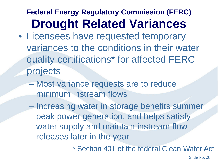#### **Federal Energy Regulatory Commission (FERC) Drought Related Variances**

- Licensees have requested temporary variances to the conditions in their water quality certifications\* for affected FERC projects
	- Most variance requests are to reduce minimum instream flows
	- Increasing water in storage benefits summer peak power generation, and helps satisfy water supply and maintain instream flow releases later in the year

\* Section 401 of the federal Clean Water Act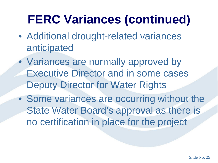# **FERC Variances (continued)**

- Additional drought-related variances anticipated
- Variances are normally approved by Executive Director and in some cases Deputy Director for Water Rights
- Some variances are occurring without the State Water Board's approval as there is no certification in place for the project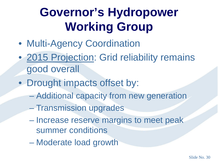# **Governor's Hydropower Working Group**

- Multi-Agency Coordination
- 2015 Projection: Grid reliability remains good overall
- Drought impacts offset by:
	- Additional capacity from new generation
	- Transmission upgrades
	- Increase reserve margins to meet peak summer conditions
	- Moderate load growth